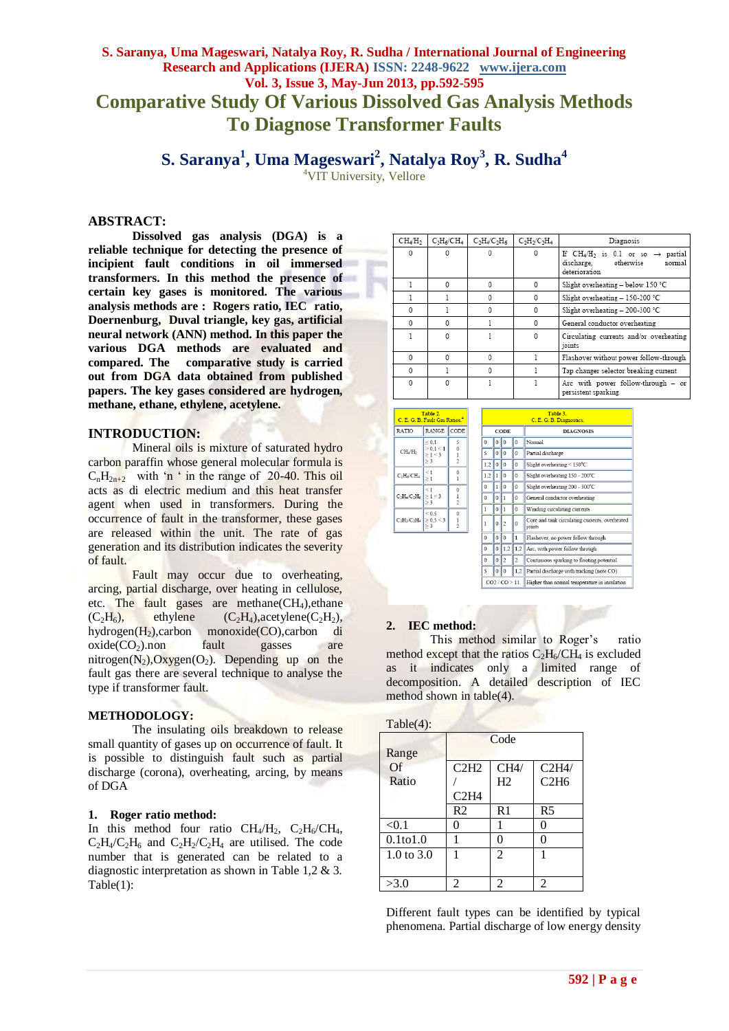# **S. Saranya, Uma Mageswari, Natalya Roy, R. Sudha / International Journal of Engineering Research and Applications (IJERA) ISSN: 2248-9622 www.ijera.com Vol. 3, Issue 3, May-Jun 2013, pp.592-595 Comparative Study Of Various Dissolved Gas Analysis Methods To Diagnose Transformer Faults**

**S. Saranya 1 , Uma Mageswari<sup>2</sup> , Natalya Roy<sup>3</sup> , R. Sudha<sup>4</sup>**

<sup>4</sup>VIT University, Vellore

## **ABSTRACT:**

**Dissolved gas analysis (DGA) is a reliable technique for detecting the presence of incipient fault conditions in oil immersed transformers. In this method the presence of certain key gases is monitored. The various analysis methods are : Rogers ratio, IEC ratio, Doernenburg, Duval triangle, key gas, artificial neural network (ANN) method. In this paper the various DGA methods are evaluated and compared. The comparative study is carried out from DGA data obtained from published papers. The key gases considered are hydrogen, methane, ethane, ethylene, acetylene.**

## **INTRODUCTION:**

Mineral oils is mixture of saturated hydro carbon paraffin whose general molecular formula is  $C_nH_{2n+2}$  with 'n ' in the range of 20-40. This oil acts as di electric medium and this heat transfer agent when used in transformers. During the occurrence of fault in the transformer, these gases are released within the unit. The rate of gas generation and its distribution indicates the severity of fault.

Fault may occur due to overheating, arcing, partial discharge, over heating in cellulose, etc. The fault gases are methane  $CH<sub>4</sub>$ , ethane  $(C_2H_6)$ , ethylene  $(C_2H_4)$ , acetylene  $(C_2H_2)$ , hydrogen(H2),carbon monoxide(CO),carbon di  $oxide(CO<sub>2</sub>)$ .non fault gasses are nitrogen( $N_2$ ), $Oxy$ gen( $O_2$ ). Depending up on the fault gas there are several technique to analyse the type if transformer fault.

#### **METHODOLOGY:**

The insulating oils breakdown to release small quantity of gases up on occurrence of fault. It is possible to distinguish fault such as partial discharge (corona), overheating, arcing, by means of DGA

#### **1. Roger ratio method:**

In this method four ratio  $CH_4/H_2$ ,  $C_2H_6/CH_4$ ,  $C_2H_4/C_2H_6$  and  $C_2H_2/C_2H_4$  are utilised. The code number that is generated can be related to a diagnostic interpretation as shown in Table 1,2 & 3. Table(1):

| CH4/H <sub>2</sub> | $C_2H_6/CH_4$ | $C_2H_4/C_2H_6$ | $C_2H_2/C_2H_4$ | Diagnosis                                                                                              |  |
|--------------------|---------------|-----------------|-----------------|--------------------------------------------------------------------------------------------------------|--|
| 0                  | 0             |                 | $\Omega$        | If $CH_4/H_2$ is 0.1 or so $\rightarrow$ partial<br>otherwise<br>discharge.<br>normal<br>deterioration |  |
|                    | 0             | $\Omega$        | 0               | Slight overheating - below 150 °C                                                                      |  |
|                    |               | $\Omega$        | 0               | Slight overheating - 150-200 °C                                                                        |  |
| 0                  |               | ۵               | 0               | Slight overheating - 200-300 °C                                                                        |  |
| 0                  | 0             |                 | 0               | General conductor overheating                                                                          |  |
|                    | $\Omega$      |                 | 0               | Circulating currents and/or overheating<br>ioints                                                      |  |
| 0                  | 0             | 0               |                 | Flashover without power follow-through                                                                 |  |
| 0                  |               | $\Omega$        |                 | Tap changer selector breaking current                                                                  |  |
| 0                  | 0             |                 |                 | Are with power follow-through - or<br>persistent sparking                                              |  |

|                               | Table 2.<br>G. B. Fault Gas Ratios. <sup>4</sup> |                                |                      |              |         |                          |
|-------------------------------|--------------------------------------------------|--------------------------------|----------------------|--------------|---------|--------------------------|
| O                             | <b>RANGE</b>                                     | CODE                           |                      | CODE         |         |                          |
|                               | $\leq 0.1$<br>> 0.1 < 1                          | 5                              |                      | $\mathbf{0}$ |         | $\theta$                 |
| /H,                           | >1<3                                             | 0<br>$\mathbf{1}$              |                      | 5            | 0       | 0                        |
|                               | $\geq$ 3                                         | $\mathfrak{p}$                 | 1,2<br>0<br>1,2<br>1 | 0            |         |                          |
| CH <sub>4</sub>               | $\leq 1$<br>$\geq 1$                             | 0<br>1                         |                      |              |         | $\Omega$                 |
|                               | $\leq 1$                                         | 0                              |                      | $\mathbf 0$  | 1       | $\mathbf 0$              |
| $C_2H_6$                      | $\geq 1 \leq 3$<br>$\geq 3$                      | $\mathbf{1}$<br>$\overline{c}$ |                      | $\mathbf 0$  | 0       | 1                        |
|                               | ${}_{0.5}$                                       | 0                              |                      | $\mathbf{1}$ | 0       | ı                        |
| C <sub>2</sub> H <sub>4</sub> | $\geq 0.5 \leq 3$<br>$\geq 3$                    | $\mathbf{1}$<br>2              |                      | $\mathbf{1}$ | 0       | $\overline{c}$           |
|                               |                                                  |                                |                      | $\mathbf 0$  | 0       | $\alpha$                 |
|                               |                                                  |                                |                      | 0            | 0       | 1,2                      |
|                               |                                                  |                                |                      | $\Omega$     | $\circ$ | $\overline{\mathcal{L}}$ |

|                                                   |   |                |                                           | Table 3.<br>C. E. G. B. Diagnostics.                     |
|---------------------------------------------------|---|----------------|-------------------------------------------|----------------------------------------------------------|
| <b>CODE</b>                                       |   |                |                                           | <b>DIAGNOSIS</b>                                         |
| Ω                                                 |   |                | 0                                         | Normal                                                   |
| 5                                                 |   |                | ٥                                         | Partial discharge                                        |
| 1,2                                               |   |                | 0                                         | Slight overheating $\leq 150^{\circ}$ C                  |
| 1,2                                               |   | $\Omega$       | 0                                         | Slight overheating 150 - 200°C                           |
| 0                                                 |   |                | 0                                         | Slight overheating 200 - 300°C                           |
| 0<br>0<br>1                                       |   |                | General conductor overheating             |                                                          |
| $\mathbf{1}$                                      |   | 1              | 0                                         | Winding circulating currents                             |
| $\mathbf{1}$                                      | 0 | $\overline{c}$ | 0                                         | Core and tank circulating currents, overheated<br>ioints |
| 0                                                 |   |                | 1                                         | Flashover, no power follow through                       |
| 0                                                 |   | 1.2            | 1.2                                       | Arc, with power follow through                           |
| $\overline{c}$<br>$\overline{c}$<br>$\Omega$<br>0 |   |                | Continuous sparking to floating potential |                                                          |
| 5                                                 |   |                | 1,2                                       | Partial discharge with tracking (note CO)                |
| CO2 / CO > 11                                     |   |                |                                           | Higher than normal temperature in insulation             |

#### **2. IEC method:**

RATI  $CH<sub>2</sub>$  $C_2H_6$  $C_2H_4$  $\text{C-H}\cdot$ 

This method similar to Roger's ratio method except that the ratios  $C_2H_6/CH_4$  is excluded as it indicates only a limited range of decomposition. A detailed description of IEC method shown in table(4).

| Table(4): |  |
|-----------|--|
|           |  |
|           |  |

|                | Code           |                |                               |  |
|----------------|----------------|----------------|-------------------------------|--|
| Range          |                |                |                               |  |
| Of             | C2H2           | CH4/           | C2H4/                         |  |
| Ratio          |                | H2             | C <sub>2</sub> H <sub>6</sub> |  |
|                | C2H4           |                |                               |  |
|                | R <sub>2</sub> | R1             | R <sub>5</sub>                |  |
| < 0.1          | 0              |                |                               |  |
| $0.1$ to $1.0$ |                | 0              |                               |  |
| 1.0 to $3.0$   |                | $\mathfrak{D}$ |                               |  |
|                |                |                |                               |  |
| >3.0           | 2              | 2              |                               |  |

Different fault types can be identified by typical phenomena. Partial discharge of low energy density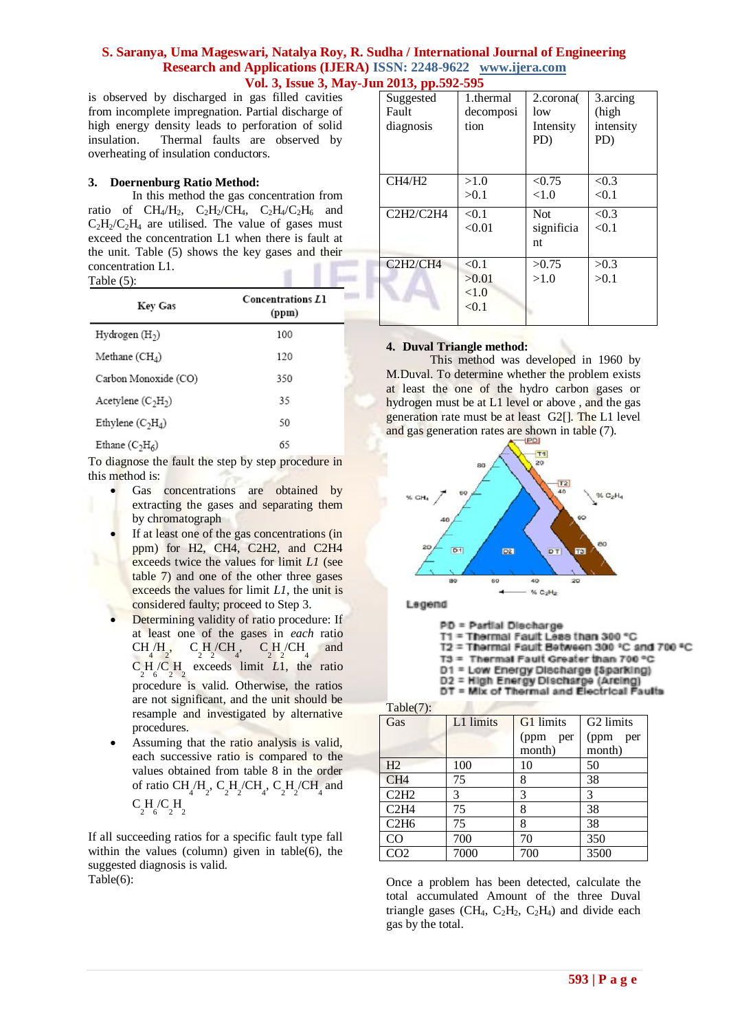## **S. Saranya, Uma Mageswari, Natalya Roy, R. Sudha / International Journal of Engineering Research and Applications (IJERA) ISSN: 2248-9622 www.ijera.com Vol. 3, Issue 3, May-Jun 2013, pp.592-595**

is observed by discharged in gas filled cavities from incomplete impregnation. Partial discharge of high energy density leads to perforation of solid insulation. Thermal faults are observed by overheating of insulation conductors.

## **3. Doernenburg Ratio Method:**

In this method the gas concentration from ratio of  $CH<sub>4</sub>/H<sub>2</sub>$ ,  $C<sub>2</sub>H<sub>2</sub>/CH<sub>4</sub>$ ,  $C<sub>2</sub>H<sub>4</sub>/C<sub>2</sub>H<sub>6</sub>$  and  $C_2H_2/C_2H_4$  are utilised. The value of gases must exceed the concentration L1 when there is fault at the unit. Table (5) shows the key gases and their concentration L1. Table (5):

| Key Gas              | <b>Concentrations L1</b><br>(ppm) |
|----------------------|-----------------------------------|
| Hydrogen $(H2)$      | 100                               |
| Methane $(CH4)$      | 120                               |
| Carbon Monoxide (CO) | 350                               |
| Acetylene $(C_2H_2)$ | 35                                |
| Ethylene $(C_2H_4)$  | 50                                |
| Ethane $(C2H6)$      | 65                                |

To diagnose the fault the step by step procedure in this method is:

- Gas concentrations are obtained by extracting the gases and separating them by chromatograph
- If at least one of the gas concentrations (in ppm) for H2, CH4, C2H2, and C2H4 exceeds twice the values for limit *L1* (see table 7) and one of the other three gases exceeds the values for limit *L1*, the unit is considered faulty; proceed to Step 3.
- Determining validity of ratio procedure: If at least one of the gases in *each* ratio CH /H  $C_2^4$ ,  $C_2^2$ ,  $C_2^2$  are acceeds limit *L*1, the ratio  $\begin{bmatrix} C_1H/CH_4, & C_2H/CH_4 \end{bmatrix}$  and procedure is valid. Otherwise, the ratios are not significant, and the unit should be resample and investigated by alternative procedures.
- Assuming that the ratio analysis is valid, each successive ratio is compared to the values obtained from table 8 in the order of ratio CH<sub>4</sub>/H<sub>2</sub>, C<sub>2</sub>H<sub>2</sub>/CH<sub>4</sub>, C<sub>2</sub>H<sub>2</sub>/CH<sub>4</sub> and  $C_2H_6/C_2H_2$

If all succeeding ratios for a specific fault type fall within the values (column) given in table(6), the suggested diagnosis is valid. Table(6):

| Suggested                                      | 1.thermal | 2.corona   | 3.arcing  |
|------------------------------------------------|-----------|------------|-----------|
| Fault                                          | decomposi | low        | (high     |
| diagnosis                                      | tion      | Intensity  | intensity |
|                                                |           | PD)        | PD)       |
|                                                |           |            |           |
|                                                |           |            |           |
| CH4/H2                                         | >1.0      | < 0.75     | < 0.3     |
|                                                | >0.1      | ${<}1.0$   | < 0.1     |
| C2H2/C2H4                                      | < 0.1     | <b>Not</b> | < 0.3     |
|                                                | < 0.01    | significia | < 0.1     |
|                                                |           | nt         |           |
| C <sub>2</sub> H <sub>2</sub> /C <sub>H4</sub> | < 0.1     | >0.75      | >0.3      |
|                                                | >0.01     | >1.0       | >0.1      |
|                                                | < 1.0     |            |           |
|                                                | < 0.1     |            |           |
|                                                |           |            |           |

## **4. Duval Triangle method:**

This method was developed in 1960 by M.Duval. To determine whether the problem exists at least the one of the hydro carbon gases or hydrogen must be at L1 level or above , and the gas generation rate must be at least G2[]. The L1 level and gas generation rates are shown in table (7).



Legend

PD = Partial Discharge

w

T1 = Thermal Fault Less than 300 °C<br>T2 = Thermal Fault Between 300 °C and 700 °C

T3 = Thermal Fault Greater than 700 °C

D1 = Low Energy Discharge (Sparking)

D2 = High Energy Discharge (Arcing)<br>DT = Mix of Thermal and Electrical Faults

Table(7):

| $\sqrt{2}$<br>Gas | L1 limits | G1 limits   | G <sub>2</sub> limits |  |
|-------------------|-----------|-------------|-----------------------|--|
|                   |           | (ppm<br>per | (ppm)<br>per          |  |
|                   |           | month)      | month)                |  |
| H2                | 100       | 10          | 50                    |  |
| CH <sub>4</sub>   | 75        | 8           | 38                    |  |
| C2H2              | 3         | 3           | 3                     |  |
| C2H4              | 75        | 8           | 38                    |  |
| C2H6              | 75        | 8           | 38                    |  |
| CO                | 700       | 70          | 350                   |  |
| CO <sub>2</sub>   | 7000      | 700         | 3500                  |  |

Once a problem has been detected, calculate the total accumulated Amount of the three Duval triangle gases (CH<sub>4</sub>, C<sub>2</sub>H<sub>2</sub>, C<sub>2</sub>H<sub>4</sub>) and divide each gas by the total.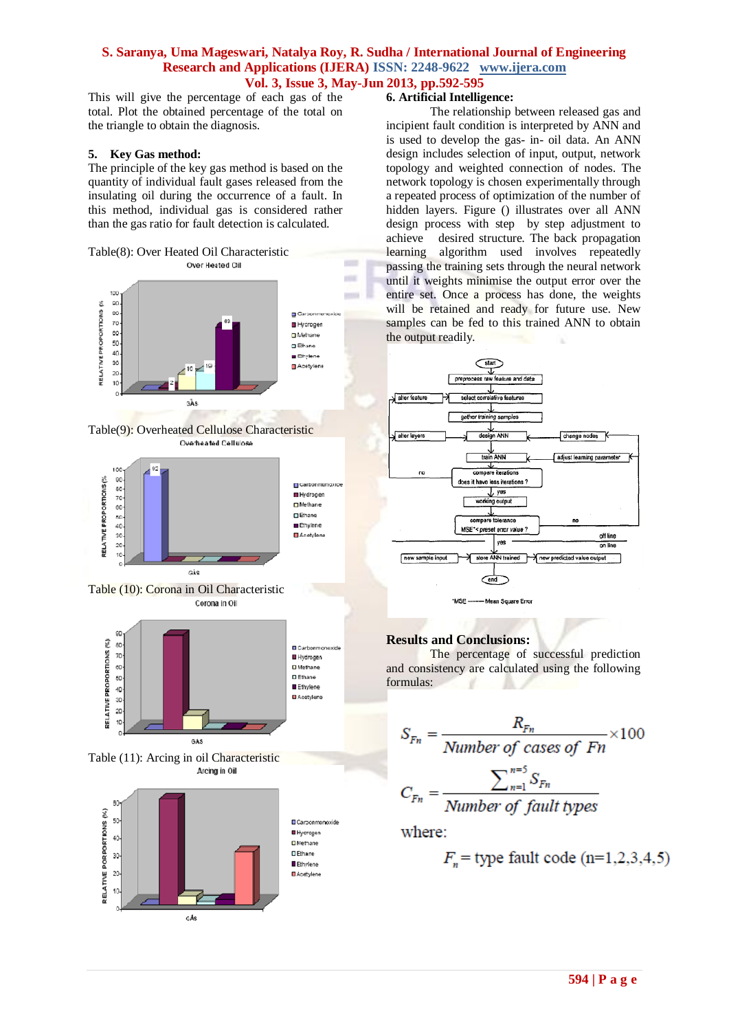# **S. Saranya, Uma Mageswari, Natalya Roy, R. Sudha / International Journal of Engineering Research and Applications (IJERA) ISSN: 2248-9622 www.ijera.com Vol. 3, Issue 3, May-Jun 2013, pp.592-595**

in a **COLL** 

This will give the percentage of each gas of the total. Plot the obtained percentage of the total on the triangle to obtain the diagnosis.

#### **5. Key Gas method:**

The principle of the key gas method is based on the quantity of individual fault gases released from the insulating oil during the occurrence of a fault. In this method, individual gas is considered rather than the gas ratio for fault detection is calculated.













# **6. Artificial Intelligence:**

The relationship between released gas and incipient fault condition is interpreted by ANN and is used to develop the gas- in- oil data. An ANN design includes selection of input, output, network topology and weighted connection of nodes. The network topology is chosen experimentally through a repeated process of optimization of the number of hidden layers. Figure () illustrates over all ANN design process with step by step adjustment to achieve desired structure. The back propagation learning algorithm used involves repeatedly passing the training sets through the neural network until it weights minimise the output error over the entire set. Once a process has done, the weights will be retained and ready for future use. New samples can be fed to this trained ANN to obtain the output readily.



# **Results and Conclusions:**

The percentage of successful prediction and consistency are calculated using the following formulas:

$$
S_{Fn} = \frac{R_{Fn}}{\text{Number of cases of } Fn} \times 100
$$
\n
$$
C = \frac{\sum_{n=1}^{n=5} S_{Fn}}{S_{Fn}}
$$

where:

ີ⊢

$$
F_n
$$
 = type fault code (n=1,2,3,4,5)